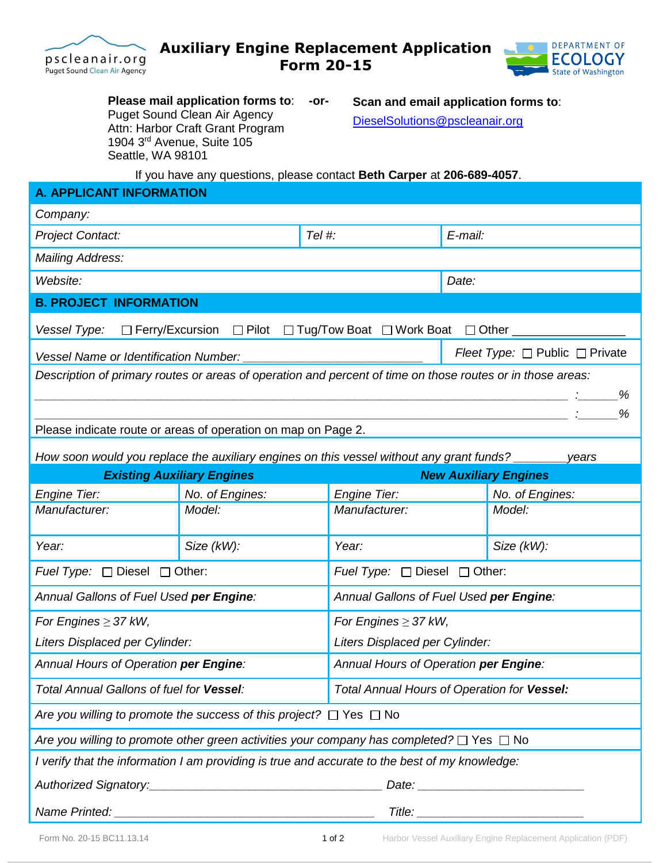



**Please mail application forms to**: **-or-**Puget Sound Clean Air Agency Attn: Harbor Craft Grant Program 1904 3rd Avenue, Suite 105 Seattle, WA 98101

**Scan and email application forms to**: [DieselSolutions@pscleanair.org](mailto:DieselSolutions@pscleanair.org)

If you have any questions, please contact **Beth Carper** at **206-689-4057**.

| <b>A. APPLICANT INFORMATION</b>                                                                            |                 |                     |                                             |                 |  |
|------------------------------------------------------------------------------------------------------------|-----------------|---------------------|---------------------------------------------|-----------------|--|
| Company:                                                                                                   |                 |                     |                                             |                 |  |
| Tel #:<br><b>Project Contact:</b>                                                                          |                 |                     | E-mail:                                     |                 |  |
| <b>Mailing Address:</b>                                                                                    |                 |                     |                                             |                 |  |
| Website:                                                                                                   |                 |                     | Date:                                       |                 |  |
| <b>B. PROJECT INFORMATION</b>                                                                              |                 |                     |                                             |                 |  |
| □ Ferry/Excursion □ Pilot □ Tug/Tow Boat □ Work Boat □ Other<br>Vessel Type:                               |                 |                     |                                             |                 |  |
| Vessel Name or Identification Number:                                                                      |                 |                     | Fleet Type: $\Box$ Public $\Box$ Private    |                 |  |
| Description of primary routes or areas of operation and percent of time on those routes or in those areas: |                 |                     |                                             |                 |  |
| %                                                                                                          |                 |                     |                                             |                 |  |
|                                                                                                            |                 |                     |                                             |                 |  |
| Please indicate route or areas of operation on map on Page 2.                                              |                 |                     |                                             |                 |  |
| How soon would you replace the auxiliary engines on this vessel without any grant funds?<br>years          |                 |                     |                                             |                 |  |
| <b>Existing Auxiliary Engines</b><br><b>New Auxiliary Engines</b>                                          |                 |                     |                                             |                 |  |
| <b>Engine Tier:</b>                                                                                        | No. of Engines: | <b>Engine Tier:</b> |                                             | No. of Engines: |  |
| Manufacturer:                                                                                              | Model:          | Manufacturer:       |                                             | Model:          |  |
| Year:                                                                                                      | Size (kW):      | Year:               |                                             | Size (kW):      |  |
| Fuel Type: □ Diesel □ Other:                                                                               |                 |                     | Fuel Type: □ Diesel □ Other:                |                 |  |
| Annual Gallons of Fuel Used per Engine:                                                                    |                 |                     | Annual Gallons of Fuel Used per Engine:     |                 |  |
| For Engines $\geq$ 37 kW,                                                                                  |                 |                     | For Engines $\geq$ 37 kW,                   |                 |  |
| Liters Displaced per Cylinder:                                                                             |                 |                     | Liters Displaced per Cylinder:              |                 |  |
| Annual Hours of Operation per Engine:                                                                      |                 |                     | Annual Hours of Operation per Engine:       |                 |  |
| Total Annual Gallons of fuel for Vessel:                                                                   |                 |                     | Total Annual Hours of Operation for Vessel: |                 |  |
| Are you willing to promote the success of this project? $\Box$ Yes $\Box$ No                               |                 |                     |                                             |                 |  |
| Are you willing to promote other green activities your company has completed? $\Box$ Yes $\Box$ No         |                 |                     |                                             |                 |  |
| I verify that the information I am providing is true and accurate to the best of my knowledge:             |                 |                     |                                             |                 |  |
|                                                                                                            |                 |                     |                                             |                 |  |
|                                                                                                            |                 |                     |                                             |                 |  |